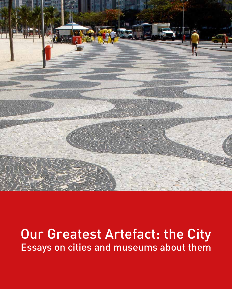

# Our Greatest Artefact: the City Essays on cities and museums about them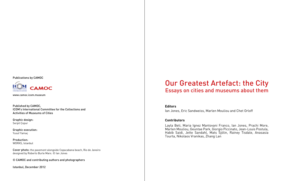## Our Greatest Artefact: the City Essays on cities and museums about them

Layla Beti, Maria Ignez Mantovani Franco, Ian Jones, Prachi More, Marlen Mouliou, Geuntae Park, Giorgio Piccinato, Jean-Louis Postula, Habib Saidi, Jette Sandahl, Mats Sjölin, Rainey Tisdale, Anasasia Tourta, Nikolaos Vranikas, Zhang Lan

#### **Contributors**

#### **Editors**

Ian Jones, Eric Sandweiss, Marlen Mouliou and Chet Orloff

Published by CAMOC, ICOM's International Committee for the Collections and Activities of Museums of Cities

Graphic design: Serpil Çopur

Graphic execution: Yusuf Yamaç

Production: WORKS, Istanbul

Cover photo: the pavement alongside Copacabana beach, Rio de Janeiro designed by Roberto Burle Marx. © Ian Jones

© CAMOC and contributing authors and photographers

Istanbul, December 2012

#### Publications by CAMOC



www.camoc.icom.museum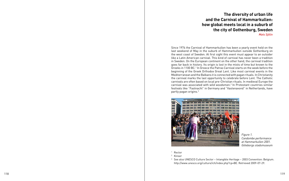Since 1974 the Carnival of Hammarkullen has been a yearly event held on the last weekend of May in the suburb of Hammarkullen outside Gothenburg on the west coast of Sweden. At first sight this event must appear to an outsider like a Latin American carnival. This kind of carnival has never been a tradition in Sweden. On the European continent on the other hand, the carnival tradition goes far back in history. Its origin is lost in the mists of time but known to the Greeks in 1100 BC.<sup>1</sup> In Greece the Patras Carnival starts on the week before the beginning of the Greek Orthodox Great Lent. Like most carnival events in the Mediterranean and the Balkans it is connected with pagan rituals. In Christianity the carnival marks the last opportunity to celebrate before Lent. The Catholic carnivals are often based on local pre-Christian rituals. In medieval Europe the carnival was associated with wild woodsmen. 2 In Protestant countries similar festivals like "Fastnacht" in Germany and "Vastenavond" in Netherlands, have partly pagan origins. 3



<sup>3</sup> See also UNESCO Culture Sector - Intangible Heritage - 2003 Convention: Belgium. http://www.unesco.org/culture/ich/index.php?cp=BE. Retrieved 2009-07-29.

### **The diversity of urban life and the Carnival of Hammarkullen: how global meets local in a suburb of the city of Gothenburg, Sweden** *Mats Sjölin*

*Figure 1. Candombe performance at Hammarkullen 2001. Göteborgs stadsmuseum*

- <sup>1</sup> Rector
- <sup>2</sup> Kinser
-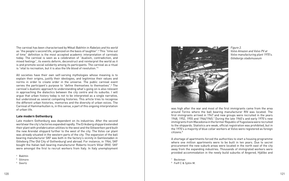The carnival has been characterised by Mikail Bakhtin in *Rabelais and his world* as "the people's second life, organized on the basis of laughter". 4 This "time out of time" definition is the most accepted academic interpretation of carnivals today. The carnival is seen as a celebration of "dualism, contradiction, and mixed feelings", its events deform, deconstruct and reinterpret the world as it is and promote social solidarity among its participants. The carnival as a ritual is "vital to recreation, but it is also the life blood of revolution." 5

Late modern Gothenburg was dependent on its industries. After the second world war the city's factories expanded rapidly. The Eriksberg shipyard extended their plant with prefabrication utilities to the west and the Götaverken yard built the new Arendal shipyard further to the west of the city. The Volvo car plant was already situated in the western parts of the city. The expansion of the ball bearing manufacturer SKF was both in the factory's vicinity in Gamlestaden in Göteborg (The Old City of Gothenburg) and abroad. For instance, in 1964, SKF bought the Italian ball bearing manufacturer Roberto Incerti Villar (RIV). SKF were amongst the first to recruit workers from Italy. In Italy unemployment<br>4 Bakhtin

- 
- $5$  Gilmore<br> $6$  Geertz
- 



All societies have their own self-serving mythologies whose meaning is to explain their origins, justify their ideologies, and legitimise their values and norms in order to create order in the universe. The public carnival event serves the participant's purpose to "define themselves to themselves".<sup>6</sup> The carnival's dualistic approach to understanding what's going on is also relevant in approaching the dialectics between the city centre and its suburbs. I will argue that urban history today is not to be interpreted as a single narrative, but understood as several competing histories. This article tries to recognise the different urban histories, memories and the diversity of urban voices. The Carnival of Hammarkullen is, in this sense, a part of this ongoing interpretation of urban life.

#### **Late modern Gothenburg**

was high after the war and most of the first immigrants came from the area around Torino where the ball bearing manufacturer RIV was located. The first immigrants arrived in 1947 and new groups were recruited in the years 1948, 1952, 1955 and 1964/1965.<sup>7</sup> During the late 1960's and early 1970's new immigrants from Macedonia in the former Republic of Yugoslavia were recruited to the shipyards. Statistics are weak, official registration was prohibited, but in the 1970's a majority of blue collar workers at Volvo were registered as foreign citizens. 8

A shortage of apartments forced the authorities to start a housing programme where one million apartments were to be built in ten years. Due to secret procurement the new suburb areas were located in the north east of the city away from the expanding industries. Thousands of immigrated workers were provided accommodation in the newly build suburbs of Angered, Hjällbo and

<sup>7</sup> Beckman<br><sup>8</sup> Feiff C & Sjölin M.

*Figure 2. Volvo Amazon and Volvo PV at Volvo manufacturing plant 1970's. Göteborgs stadsmuseum*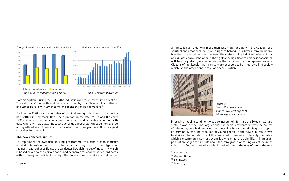Hammarkullen. During the 1980's the industries and the city went into a decline. The suburbs of the north east were abandoned by most Swedish born citizens and left to people with low income or dependent on social welfare.<sup>9</sup>

Back in the 1970's a small number of political immigrants from Latin America had settled in Hammarkullen. Their kin had, in the late 1980's and the early 1990's, started to arrive at what was the rather rundown suburbs in the north east, where rent was low. The local authorities desperately needed the revenue and gladly offered them apartments when the immigration authorities paid subsidies for the rent.

a home. It has to do with more than just material safety, it's a concept of a spiritual and emotional inclusion, a right to belong. This differs from the liberal tradition of a social contract between the state and the individual where rights and obligations must balance.10 The right for every citizen to belong is associated with being equal and, as a consequence, the formation of a homogenised society. Citizens of the Swedish welfare state are expected to be integrated into society which, on the other hand, presumes acculturation.<sup>11</sup>



#### **The new concrete suburb**

To implement the Swedish housing programme, the construction industry needed to be rationalized. The prefabricated housing constructions, typical of the north east suburbs fit into the particular Swedish model of modernity which is based on a view of a certain social and economic rationality that co-ordinates with an imagined efficient society. The Swedish welfare state is defined as

Improving housing conditions was a cornerstone in forming the Swedish welfare state. It was, at the time, argued that the social environment was the source of criminality and bad behaviour in general. When the media began to report on criminality and the rebellion of young people in the new suburbs, it was to strike at the foundations of this imagined community.12 Stereotypical tales, which are common in so many countries where there is a significant immigrant population, began to circulate about the immigrants' appalling way of life in the suburbs.<sup>13</sup> Counter narratives which paid tribute to the way of life in the new

- <sup>10</sup> Andersson
- <sup>11</sup> Cadaval Olivia
- <sup>12</sup> Sjölin 2004
- <sup>13</sup> Klintberg



<sup>9</sup> Sjölin

Foreign citizens in relation to total number of workers







*Figure 3. One of the newly built suburbs to Göteborg 1974. Göteborgs stadsmuseum*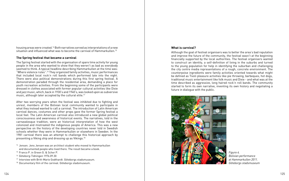housing areas were created.14 Both narratives served as interpretations of a new situation and influenced what was to become the carnival of Hammarkullen.<sup>15</sup>

The Spring festival started with the organisation of spare time activity for young people in the area who wanted to show that they weren't as bad as everybody seemed to think. A typical headline describing Hammarkullen at the time was: "Where violence rules".16 They organized family activities, music performances that included local rock'n roll bands which performed late into the night. There were also political demonstrations during this first spring festival. A demonstration paraded through the residential area, demanding a place for youth recreation activities. From the beginning some of the participants were dressed in clothes associated with former popular cultural activities like Dixie and jazz music, which, back in 1930's and 1940's, was looked upon as subversive music, although later accepted by the cultural elite.<sup>17</sup>

#### **The Spring festival that became a carnival**

After two worrying years when the festival was inhibited due to fighting and unrest, members of the Bolivian local community wanted to participate in what they instead wanted to call a carnival. The introduction of Latin American carnival dances, costumes and other props gave the former Spring festival a local feel. The Latin American carnival also introduced a new global political consciousness and awareness of historical events. The narratives, told in the carnavalesque tradition, were an historical interpretation of how the west colonized and mistreated the indigenous people of America. This was a new perspective on the history of the developing countries never told in Swedish schools whether they were in Hammarkullen or elsewhere in Sweden. In the 1981 carnival there was an attempt to challenge this historical approach by presenting a Viking ship and dressing up as Vikings.18

- <sup>14</sup> Jensen. Jens Jensen was an architect student who moved to Hammarkullen and documented people who lived there. The result became a book.
- <sup>15</sup> Franco P. in Green G. & Scher P.
- <sup>16</sup> Göteborg-Tidningen 1976.09.30
- <sup>17</sup> Interview with Britt-Marie Godthardt. Göteborgs stadsmuseum.
- <sup>18</sup> Documentary film of the carnival. Göteborgs stadsmuseum.

#### **What is carnival?**

Although the goal of festival organisers was to better the area's bad reputation and improve the future of the community, the festival wasn't at the beginning financially supported by the local authorities. The festival organisers wanted to construct an identity, a self-definition of living in the suburbs and turned to the young population for help in identifying the suburban and challenging the city centre media representations of a rough, concrete environment. The counterpoise ingredients were family activities oriented towards what might be defined as Tivoli pleasure activities like pie throwing, barbeques, hot dogs, traditional music entertainment like folk music and Dixie - and what was at the time described as aggressive, long haired rock'n roll bands. The community started to form its own narrative, inventing its own history and negotiating a future in dialogue with the public.



*Figure 4. Bolivian performance at Hammarkullen 2011. Göteborgs stadsmuseum*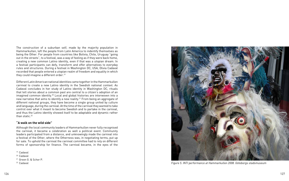Different Latin American national identities came together in the Hammarkullen carnival to create a new Latino identity in the Swedish national context. As Cadaval concludes in her study of Latino identity in Washington DC, rituals that tell stories about a common past are central to a citizen's adoption of an imagined common identity.<sup>20</sup> Local and global histories are interwoven into a new narrative that aims to identify a new reality.21 From being an aggregate of different national groups, they have become a single group united by culture and language, during the carnival. At the time of the carnival they wanted to take control over what it meant to become Swedish and to partake in the carnival, and thus the Latino identity showed itself to be adaptable and dynamic rather than static. $22$ 

The construction of a suburban self, made by the majority population in Hammarkullen, left the people from Latin America to indentify themselves as being the Other. For people from countries like Bolivia, Chile, Uruguay "going out in the streets", to a festival, was a way of feeling as if they were back home, creating a new common Latino identity, even if that was a utopian dream. In a festival participants can defy, transform and offer alternatives to everyday rules and structures. During a festival in Washington DC, USA, Olivia Cadaval recorded that people entered a utopian realm of freedom and equality in which they could imagine a different order.19

- <sup>20</sup> Cadaval
- <sup>21</sup> Green G. & Scher P.
- <sup>22</sup> Cadaval

#### **"A walk on the wild side"**

Although the local community leaders of Hammarkullen never fully recognised the carnival, it became a celebration as well a political event. Community leaders participated from a distance, and unknowingly made the carnival into a festival of the Other, where the Otherness was, in negotiating terms, put up for sale. To uphold the carnival the carnival committee had to rely on different forms of sponsorship for finance. The carnival became, in the eyes of the

<sup>19</sup> Cadaval



*Figure 5. INTI performance at Hammarkullen 2008. Göteborgs stadsmuseum*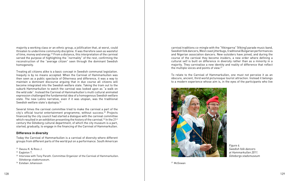Treating all citizens alike is a basic concept in Swedish communal legislation. Inequity is by no means accepted. When the Carnival of Hammarkullen was then seen as a public spectacle of Otherness and difference, it was a way to maintain a dominant discourse arguing that in due course all citizens will become integrated into the Swedish welfare state. Taking the tram out to the suburb Hammarkullen to watch the carnival was looked upon as "a walk on the wild side". Instead the Carnival of Hammarkullen's multi cultural animated expression challenged the fundamental idea of a homogenous Swedish welfare state. The new Latino narrative, even if it was utopian, was the traditional Swedish welfare state's dystopia.<sup>24</sup>

majority a working class or an ethnic group, a jollification that, at worst, could threaten to undermine community discipline. It was therefore seen as wasteful of time, money and energy.23 From a distance, this interpretation of the carnival served the purpose of highlighting the "normality" of the rest, confirming the reconstruction of the "average citizen" seen through the dominant Swedish homogeneity.

carnival traditions co-mingle with the "Vikingarna" (Viking) parade music band, Swedish folk dancers, West coast jitterbugs, traditional Bulgarian performances and Nigerian association dancers. New outsiders have joined, and during the course of the carnival they become insiders, a new order where defining a cultural self is built on difference in diversity rather than as a minority in a majority. They carnivalise a new identity and reality of difference that reflect the multiple voices and points of view.<sup>27</sup>

Several times the carnival committee tried to make the carnival a part of the city's official tourist entertainment programme, without success.<sup>25</sup> Projects financed by the city council had started a dialogue with the carnival committee which resulted in an exhibition presenting the history of the carnival.<sup>26</sup> In the 21<sup>st</sup> century the Göteborg cultural department, of which the city museum is a part, started, gradually, to engage in the financing of the Carnival of Hammarkullen.

#### **Difference in diversity**

Today the Carnival of Hammarkullen is a carnival of diversity where different groups from different parts of the world put on a performance. South American

<sup>23</sup> Owusu K. & Ross J.

- <sup>24</sup> Eagleton T.
- <sup>25</sup> Interview with Tony Parath. Committee Organizer of the Carnival of Hammarkullen. Göteborgs stadsmuseum.
- <sup>26</sup> Esteban Johansson

To relate to the Carnival of Hammarkullen, one must not perceive it as an obscure, ancient, third world picturesque tourist attraction. Instead it belongs to a modern experience whose aim is, in the eyes of the participants who live



*Figure 6. Swedish folk dancers at Hammarkullen 2011. Göteborgs stadsmuseum*